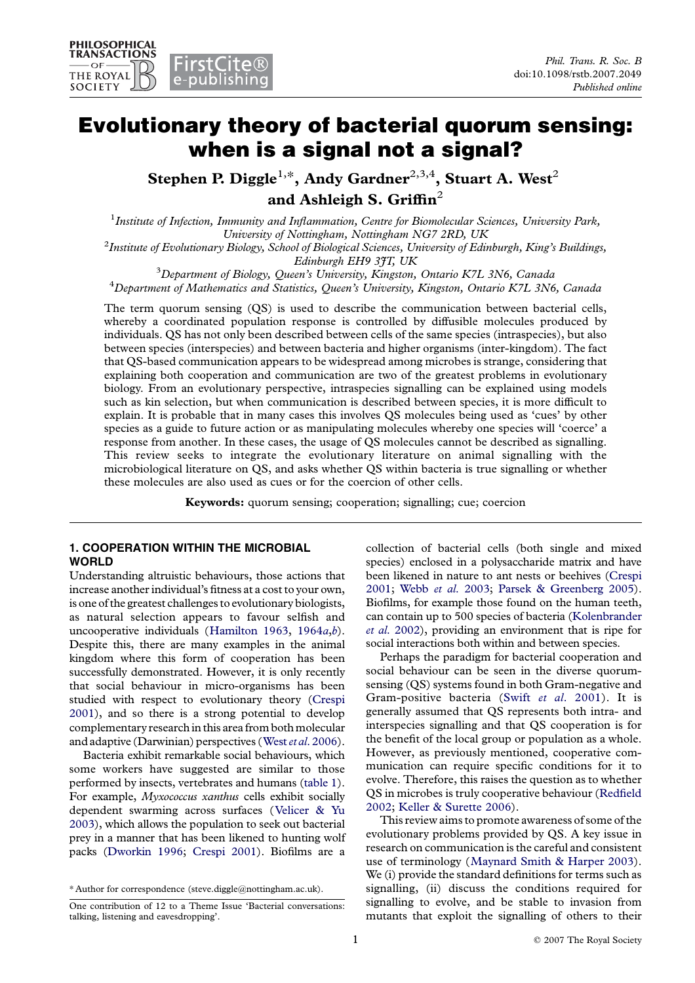

# Evolutionary theory of bacterial quorum sensing: when is a signal not a signal?

Stephen P. Diggle $^{1,*},$  Andy Gardner $^{2,3,4},$  Stuart A. West $^2$ and Ashleigh S. Griffin<sup>2</sup>

<sup>1</sup> Institute of Infection, Immunity and Inflammation, Centre for Biomolecular Sciences, University Park, University of Nottingham, Nottingham NG7 2RD, UK<br>Institute of Evolutionary Biology, School of Biological Sciences, University of Edinburgh, King's Buildings,

Edinburgh EH9 3JT, UK<br><sup>3</sup>Department of Biology Queen's University Kingston  $\beta^{3}$ Department of Biology, Queen's University, Kingston, Ontario K7L 3N6, Canada  $^4$  Department of Mathematics and Statistics. Queen's University, Kingston, Ontario K7L 3N6 Department of Mathematics and Statistics, Queen's University, Kingston, Ontario K7L 3N6, Canada

The term quorum sensing (QS) is used to describe the communication between bacterial cells, whereby a coordinated population response is controlled by diffusible molecules produced by individuals. QS has not only been described between cells of the same species (intraspecies), but also between species (interspecies) and between bacteria and higher organisms (inter-kingdom). The fact that QS-based communication appears to be widespread among microbes is strange, considering that explaining both cooperation and communication are two of the greatest problems in evolutionary biology. From an evolutionary perspective, intraspecies signalling can be explained using models such as kin selection, but when communication is described between species, it is more difficult to explain. It is probable that in many cases this involves QS molecules being used as 'cues' by other species as a guide to future action or as manipulating molecules whereby one species will 'coerce' a response from another. In these cases, the usage of QS molecules cannot be described as signalling. This review seeks to integrate the evolutionary literature on animal signalling with the microbiological literature on QS, and asks whether QS within bacteria is true signalling or whether these molecules are also used as cues or for the coercion of other cells.

Keywords: quorum sensing; cooperation; signalling; cue; coercion

# 1. COOPERATION WITHIN THE MICROBIAL WORLD

Understanding altruistic behaviours, those actions that increase another individual's fitness at a cost to your own, is one of the greatest challenges to evolutionary biologists, as natural selection appears to favour selfish and uncooperative individuals ([Hamilton](#page-7-0) 1963, [1964](#page-7-0)a,[b](#page-7-0)). Despite this, there are many examples in the animal kingdom where this form of cooperation has been successfully demonstrated. However, it is only recently that social behaviour in micro-organisms has been studied with respect to evolutionary theory [\(Crespi](#page-6-0) [2001\)](#page-6-0), and so there is a strong potential to develop complementary research in this area from both molecular and adaptive (Darwinian) perspectives (West et al. [2006\)](#page-8-0).

Bacteria exhibit remarkable social behaviours, which some workers have suggested are similar to those performed by insects, vertebrates and humans [\(table](#page-1-0) 1). For example, Myxococcus xanthus cells exhibit socially dependent swarming across surfaces ([Velicer](#page-8-0) & Yu [2003\)](#page-8-0), which allows the population to seek out bacterial prey in a manner that has been likened to hunting wolf packs [\(Dworkin](#page-7-0) 1996; [Crespi](#page-6-0) 2001). Biofilms are a

collection of bacterial cells (both single and mixed species) enclosed in a polysaccharide matrix and have been likened in nature to ant nests or beehives [\(Crespi](#page-6-0) [2001;](#page-6-0) [Webb](#page-8-0) et al. 2003; Parsek & [Greenberg](#page-8-0) 2005). Biofilms, for example those found on the human teeth, can contain up to 500 species of bacteria [\(Kolenbrander](#page-7-0) et al. [2002](#page-7-0)), providing an environment that is ripe for social interactions both within and between species.

Perhaps the paradigm for bacterial cooperation and social behaviour can be seen in the diverse quorumsensing (QS) systems found in both Gram-negative and Gram-positive bacteria ([Swift](#page-8-0) et al. 2001). It is generally assumed that QS represents both intra- and interspecies signalling and that QS cooperation is for the benefit of the local group or population as a whole. However, as previously mentioned, cooperative communication can require specific conditions for it to evolve. Therefore, this raises the question as to whether QS in microbes is truly cooperative behaviour [\(Redfield](#page-8-0) [2002](#page-8-0); Keller & [Surette](#page-7-0) 2006).

This review aims to promote awareness of some of the evolutionary problems provided by QS. A key issue in research on communication is the careful and consistent use of terminology ([Maynard](#page-7-0) Smith & Harper 2003). We (i) provide the standard definitions for terms such as signalling, (ii) discuss the conditions required for signalling to evolve, and be stable to invasion from mutants that exploit the signalling of others to their

<sup>\*</sup> Author for correspondence (steve.diggle@nottingham.ac.uk).

One contribution of 12 to a Theme Issue 'Bacterial conversations: talking, listening and eavesdropping'.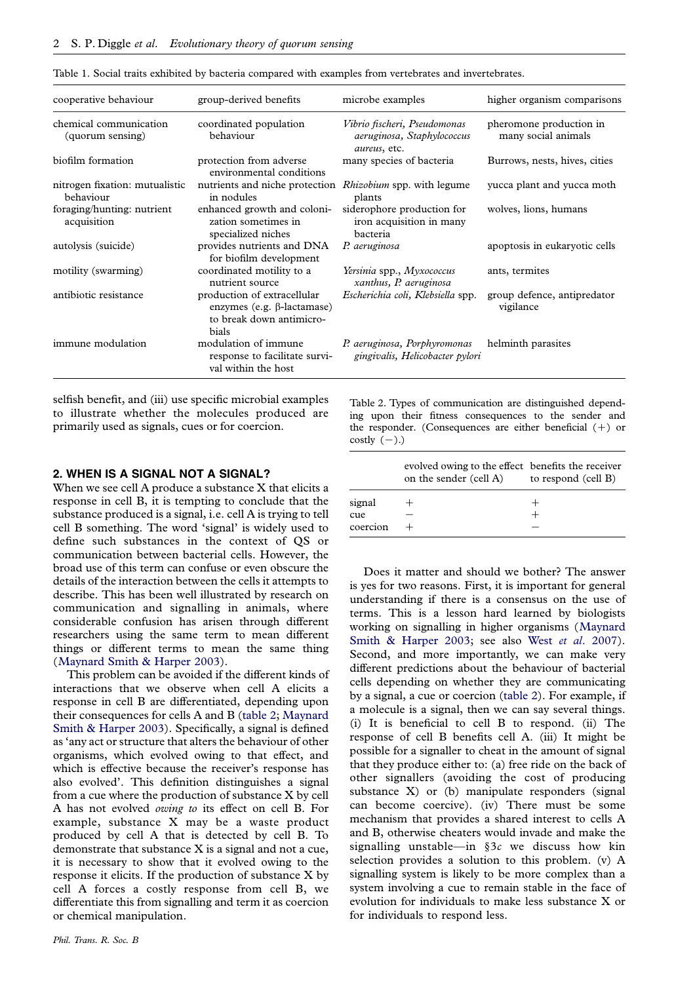| cooperative behaviour                       | group-derived benefits                                                                                | microbe examples                                                           | higher organism comparisons                    |
|---------------------------------------------|-------------------------------------------------------------------------------------------------------|----------------------------------------------------------------------------|------------------------------------------------|
| chemical communication<br>(quorum sensing)  | coordinated population<br>behaviour                                                                   | Vibrio fischeri, Pseudomonas<br>aeruginosa, Staphylococcus<br>aureus, etc. | pheromone production in<br>many social animals |
| biofilm formation                           | protection from adverse<br>environmental conditions                                                   | many species of bacteria                                                   | Burrows, nests, hives, cities                  |
| nitrogen fixation: mutualistic<br>behaviour | nutrients and niche protection<br>in nodules                                                          | <i>Rhizobium</i> spp. with legume<br>plants                                | yucca plant and yucca moth                     |
| foraging/hunting: nutrient<br>acquisition   | enhanced growth and coloni-<br>zation sometimes in<br>specialized niches                              | siderophore production for<br>iron acquisition in many<br>bacteria         | wolves, lions, humans                          |
| autolysis (suicide)                         | provides nutrients and DNA<br>for biofilm development                                                 | P. aeruginosa                                                              | apoptosis in eukaryotic cells                  |
| motility (swarming)                         | coordinated motility to a<br>nutrient source                                                          | Yersinia spp., Myxococcus<br>xanthus, P. aeruginosa                        | ants, termites                                 |
| antibiotic resistance                       | production of extracellular<br>enzymes (e.g. $\beta$ -lactamase)<br>to break down antimicro-<br>bials | Escherichia coli, Klebsiella spp.                                          | group defence, antipredator<br>vigilance       |
| immune modulation                           | modulation of immune<br>response to facilitate survi-<br>val within the host                          | P. aeruginosa, Porphyromonas<br>gingivalis, Helicobacter pylori            | helminth parasites                             |

<span id="page-1-0"></span>Table 1. Social traits exhibited by bacteria compared with examples from vertebrates and invertebrates.

selfish benefit, and (iii) use specific microbial examples to illustrate whether the molecules produced are primarily used as signals, cues or for coercion.

# 2. WHEN IS A SIGNAL NOT A SIGNAL?

When we see cell A produce a substance X that elicits a response in cell B, it is tempting to conclude that the substance produced is a signal, i.e. cell A is trying to tell cell B something. The word 'signal' is widely used to define such substances in the context of QS or communication between bacterial cells. However, the broad use of this term can confuse or even obscure the details of the interaction between the cells it attempts to describe. This has been well illustrated by research on communication and signalling in animals, where considerable confusion has arisen through different researchers using the same term to mean different things or different terms to mean the same thing ([Maynard](#page-7-0) Smith & Harper 2003).

This problem can be avoided if the different kinds of interactions that we observe when cell A elicits a response in cell B are differentiated, depending upon their consequences for cells A and B (table 2; [Maynard](#page-7-0) Smith & [Harper](#page-7-0) 2003). Specifically, a signal is defined as 'any act or structure that alters the behaviour of other organisms, which evolved owing to that effect, and which is effective because the receiver's response has also evolved'. This definition distinguishes a signal from a cue where the production of substance X by cell A has not evolved owing to its effect on cell B. For example, substance X may be a waste product produced by cell A that is detected by cell B. To demonstrate that substance X is a signal and not a cue, it is necessary to show that it evolved owing to the response it elicits. If the production of substance X by cell A forces a costly response from cell B, we differentiate this from signalling and term it as coercion or chemical manipulation.

Table 2. Types of communication are distinguished depending upon their fitness consequences to the sender and the responder. (Consequences are either beneficial  $(+)$  or costly  $(-)$ .)

|          | evolved owing to the effect benefits the receiver<br>on the sender $\text{(cell A)}$ to respond $\text{(cell B)}$ |  |
|----------|-------------------------------------------------------------------------------------------------------------------|--|
| signal   |                                                                                                                   |  |
| cue      |                                                                                                                   |  |
| coercion |                                                                                                                   |  |

Does it matter and should we bother? The answer is yes for two reasons. First, it is important for general understanding if there is a consensus on the use of terms. This is a lesson hard learned by biologists working on signalling in higher organisms ([Maynard](#page-7-0) Smith & [Harper](#page-7-0) 2003; see also West et al. [2007\)](#page-8-0). Second, and more importantly, we can make very different predictions about the behaviour of bacterial cells depending on whether they are communicating by a signal, a cue or coercion (table 2). For example, if a molecule is a signal, then we can say several things. (i) It is beneficial to cell B to respond. (ii) The response of cell B benefits cell A. (iii) It might be possible for a signaller to cheat in the amount of signal that they produce either to: (a) free ride on the back of other signallers (avoiding the cost of producing substance X) or (b) manipulate responders (signal can become coercive). (iv) There must be some mechanism that provides a shared interest to cells A and B, otherwise cheaters would invade and make the signalling unstable—in  $§3c$  we discuss how kin selection provides a solution to this problem. (v) A signalling system is likely to be more complex than a system involving a cue to remain stable in the face of evolution for individuals to make less substance X or for individuals to respond less.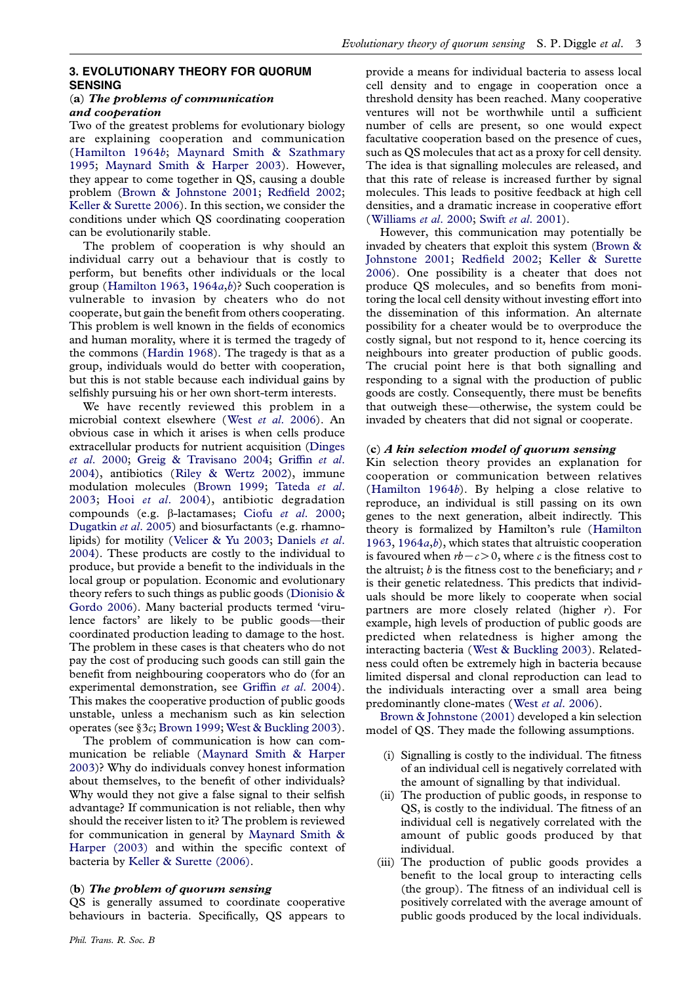# 3. EVOLUTIONARY THEORY FOR QUORUM **SENSING**

### (a) The problems of communication and cooperation

Two of the greatest problems for evolutionary biology are explaining cooperation and communication ([Hamilton](#page-7-0) 1964b; Maynard Smith & [Szathmary](#page-7-0) [1995](#page-7-0); [Maynard](#page-7-0) Smith & Harper 2003). However, they appear to come together in QS, causing a double problem (Brown & [Johnstone](#page-6-0) 2001; [Redfield](#page-8-0) 2002; Keller & [Surette](#page-7-0) 2006). In this section, we consider the conditions under which QS coordinating cooperation can be evolutionarily stable.

The problem of cooperation is why should an individual carry out a behaviour that is costly to perform, but benefits other individuals or the local group ([Hamilton](#page-7-0) 1963, [1964](#page-7-0)a,[b](#page-7-0))? Such cooperation is vulnerable to invasion by cheaters who do not cooperate, but gain the benefit from others cooperating. This problem is well known in the fields of economics and human morality, where it is termed the tragedy of the commons ([Hardin](#page-7-0) 1968). The tragedy is that as a group, individuals would do better with cooperation, but this is not stable because each individual gains by selfishly pursuing his or her own short-term interests.

We have recently reviewed this problem in a microbial context elsewhere (West et al. [2006\)](#page-8-0). An obvious case in which it arises is when cells produce extracellular products for nutrient acquisition ([Dinges](#page-7-0) et al. [2000](#page-7-0); Greig & [Travisano](#page-7-0) 2004; [Griffin](#page-7-0) et al. [2004](#page-7-0)), antibiotics (Riley & [Wertz](#page-8-0) 2002), immune modulation molecules [\(Brown](#page-6-0) 1999; [Tateda](#page-8-0) et al. [2003](#page-8-0); Hooi et al. [2004\)](#page-7-0), antibiotic degradation compounds (e.g. b-lactamases; [Ciofu](#page-6-0) et al. 2000; [Dugatkin](#page-7-0) et al. 2005) and biosurfactants (e.g. rhamnolipids) for motility ([Velicer](#page-8-0) & Yu 2003; [Daniels](#page-6-0) et al. [2004](#page-6-0)). These products are costly to the individual to produce, but provide a benefit to the individuals in the local group or population. Economic and evolutionary theory refers to such things as public goods ([Dionisio](#page-7-0) & [Gordo](#page-7-0) 2006). Many bacterial products termed 'virulence factors' are likely to be public goods—their coordinated production leading to damage to the host. The problem in these cases is that cheaters who do not pay the cost of producing such goods can still gain the benefit from neighbouring cooperators who do (for an experimental demonstration, see [Griffin](#page-7-0) et al. 2004). This makes the cooperative production of public goods unstable, unless a mechanism such as kin selection operates (see §3c; [Brown](#page-6-0) 1999; West & [Buckling](#page-8-0) 2003).

The problem of communication is how can communication be reliable ([Maynard](#page-7-0) Smith & Harper [2003](#page-7-0))? Why do individuals convey honest information about themselves, to the benefit of other individuals? Why would they not give a false signal to their selfish advantage? If communication is not reliable, then why should the receiver listen to it? The problem is reviewed for communication in general by [Maynard](#page-7-0) Smith & [Harper](#page-7-0) (2003) and within the specific context of bacteria by Keller & [Surette](#page-7-0) (2006).

# (b) The problem of quorum sensing

QS is generally assumed to coordinate cooperative behaviours in bacteria. Specifically, QS appears to

Phil. Trans. R. Soc. B

provide a means for individual bacteria to assess local cell density and to engage in cooperation once a threshold density has been reached. Many cooperative ventures will not be worthwhile until a sufficient number of cells are present, so one would expect facultative cooperation based on the presence of cues, such as QS molecules that act as a proxy for cell density. The idea is that signalling molecules are released, and that this rate of release is increased further by signal molecules. This leads to positive feedback at high cell densities, and a dramatic increase in cooperative effort ([Williams](#page-8-0) et al. 2000; Swift et al. [2001](#page-8-0)).

However, this communication may potentially be invaded by cheaters that exploit this system ([Brown](#page-6-0) & [Johnstone](#page-6-0) 2001; [Redfield](#page-8-0) 2002; Keller & [Surette](#page-7-0) [2006](#page-7-0)). One possibility is a cheater that does not produce QS molecules, and so benefits from monitoring the local cell density without investing effort into the dissemination of this information. An alternate possibility for a cheater would be to overproduce the costly signal, but not respond to it, hence coercing its neighbours into greater production of public goods. The crucial point here is that both signalling and responding to a signal with the production of public goods are costly. Consequently, there must be benefits that outweigh these—otherwise, the system could be invaded by cheaters that did not signal or cooperate.

### $(c)$  A kin selection model of quorum sensing

Kin selection theory provides an explanation for cooperation or communication between relatives ([Hamilton](#page-7-0) 1964b). By helping a close relative to reproduce, an individual is still passing on its own genes to the next generation, albeit indirectly. This theory is formalized by Hamilton's rule ([Hamilton](#page-7-0) [1963](#page-7-0), [1964](#page-7-0)a,[b](#page-7-0)), which states that altruistic cooperation is favoured when  $rb - c > 0$ , where c is the fitness cost to the altruist;  $b$  is the fitness cost to the beneficiary; and  $r$ is their genetic relatedness. This predicts that individuals should be more likely to cooperate when social partners are more closely related (higher  $r$ ). For example, high levels of production of public goods are predicted when relatedness is higher among the interacting bacteria (West & [Buckling](#page-8-0) 2003). Relatedness could often be extremely high in bacteria because limited dispersal and clonal reproduction can lead to the individuals interacting over a small area being predominantly clone-mates (West et al. [2006](#page-8-0)).

Brown & [Johnstone](#page-6-0) (2001) developed a kin selection model of QS. They made the following assumptions.

- (i) Signalling is costly to the individual. The fitness of an individual cell is negatively correlated with the amount of signalling by that individual.
- (ii) The production of public goods, in response to QS, is costly to the individual. The fitness of an individual cell is negatively correlated with the amount of public goods produced by that individual.
- (iii) The production of public goods provides a benefit to the local group to interacting cells (the group). The fitness of an individual cell is positively correlated with the average amount of public goods produced by the local individuals.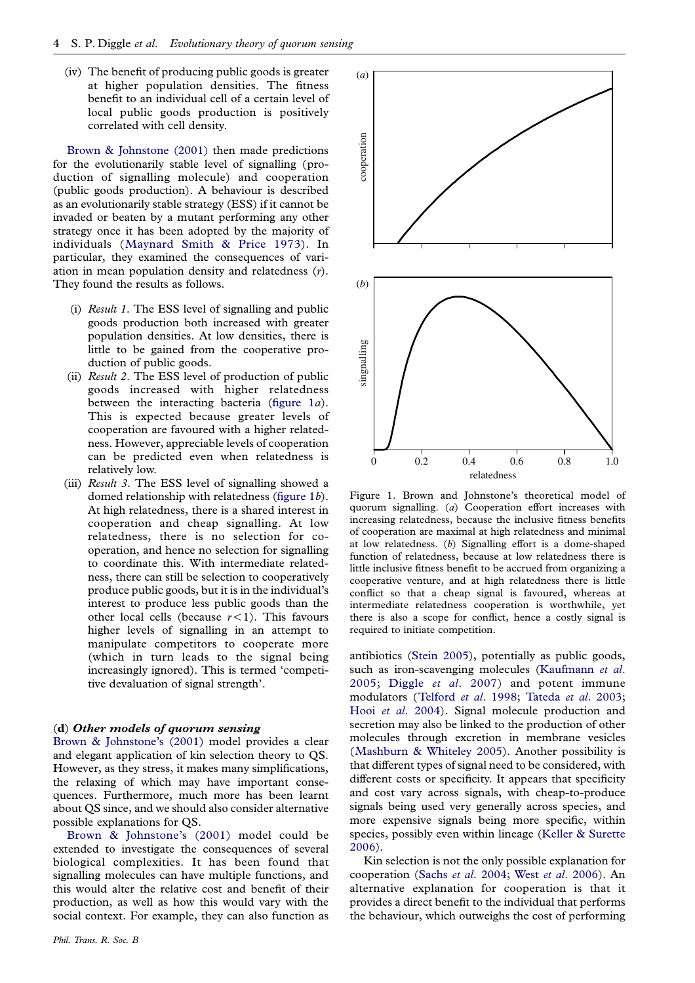(iv) The benefit of producing public goods is greater at higher population densities. The fitness benefit to an individual cell of a certain level of local public goods production is positively correlated with cell density.

Brown & [Johnstone](#page-6-0) (2001) then made predictions for the evolutionarily stable level of signalling (production of signalling molecule) and cooperation (public goods production). A behaviour is described as an evolutionarily stable strategy (ESS) if it cannot be invaded or beaten by a mutant performing any other strategy once it has been adopted by the majority of individuals ([Maynard](#page-7-0) Smith & Price 1973). In particular, they examined the consequences of variation in mean population density and relatedness (r). They found the results as follows.

- (i) Result 1. The ESS level of signalling and public goods production both increased with greater population densities. At low densities, there is little to be gained from the cooperative production of public goods.
- (ii) Result 2. The ESS level of production of public goods increased with higher relatedness between the interacting bacteria (figure  $1a$ ). This is expected because greater levels of cooperation are favoured with a higher relatedness. However, appreciable levels of cooperation can be predicted even when relatedness is relatively low.
- (iii) Result 3. The ESS level of signalling showed a domed relationship with relatedness (figure 1b). At high relatedness, there is a shared interest in cooperation and cheap signalling. At low relatedness, there is no selection for cooperation, and hence no selection for signalling to coordinate this. With intermediate relatedness, there can still be selection to cooperatively produce public goods, but it is in the individual's interest to produce less public goods than the other local cells (because  $r$ <1). This favours higher levels of signalling in an attempt to manipulate competitors to cooperate more (which in turn leads to the signal being increasingly ignored). This is termed 'competitive devaluation of signal strength'.

#### (d) Other models of quorum sensing

Brown & [Johnstone's](#page-6-0) (2001) model provides a clear and elegant application of kin selection theory to QS. However, as they stress, it makes many simplifications, the relaxing of which may have important consequences. Furthermore, much more has been learnt about QS since, and we should also consider alternative possible explanations for QS.

Brown & [Johnstone's](#page-6-0) (2001) model could be extended to investigate the consequences of several biological complexities. It has been found that signalling molecules can have multiple functions, and this would alter the relative cost and benefit of their production, as well as how this would vary with the social context. For example, they can also function as



Figure 1. Brown and Johnstone's theoretical model of quorum signalling. (a) Cooperation effort increases with increasing relatedness, because the inclusive fitness benefits of cooperation are maximal at high relatedness and minimal at low relatedness. (b) Signalling effort is a dome-shaped function of relatedness, because at low relatedness there is little inclusive fitness benefit to be accrued from organizing a cooperative venture, and at high relatedness there is little conflict so that a cheap signal is favoured, whereas at intermediate relatedness cooperation is worthwhile, yet there is also a scope for conflict, hence a costly signal is required to initiate competition.

antibiotics ([Stein](#page-8-0) 2005), potentially as public goods, such as iron-scavenging molecules [\(Kaufmann](#page-7-0) et al. [2005;](#page-7-0) [Diggle](#page-7-0) et al. 2007) and potent immune modulators ([Telford](#page-8-0) et al. 1998; [Tateda](#page-8-0) et al. 2003; Hooi et al. [2004\)](#page-7-0). Signal molecule production and secretion may also be linked to the production of other molecules through excretion in membrane vesicles ([Mashburn](#page-7-0) & Whiteley 2005). Another possibility is that different types of signal need to be considered, with different costs or specificity. It appears that specificity and cost vary across signals, with cheap-to-produce signals being used very generally across species, and more expensive signals being more specific, within species, possibly even within lineage (Keller & [Surette](#page-7-0) [2006](#page-7-0)).

Kin selection is not the only possible explanation for cooperation [\(Sachs](#page-8-0) et al. 2004; West et al. [2006](#page-8-0)). An alternative explanation for cooperation is that it provides a direct benefit to the individual that performs the behaviour, which outweighs the cost of performing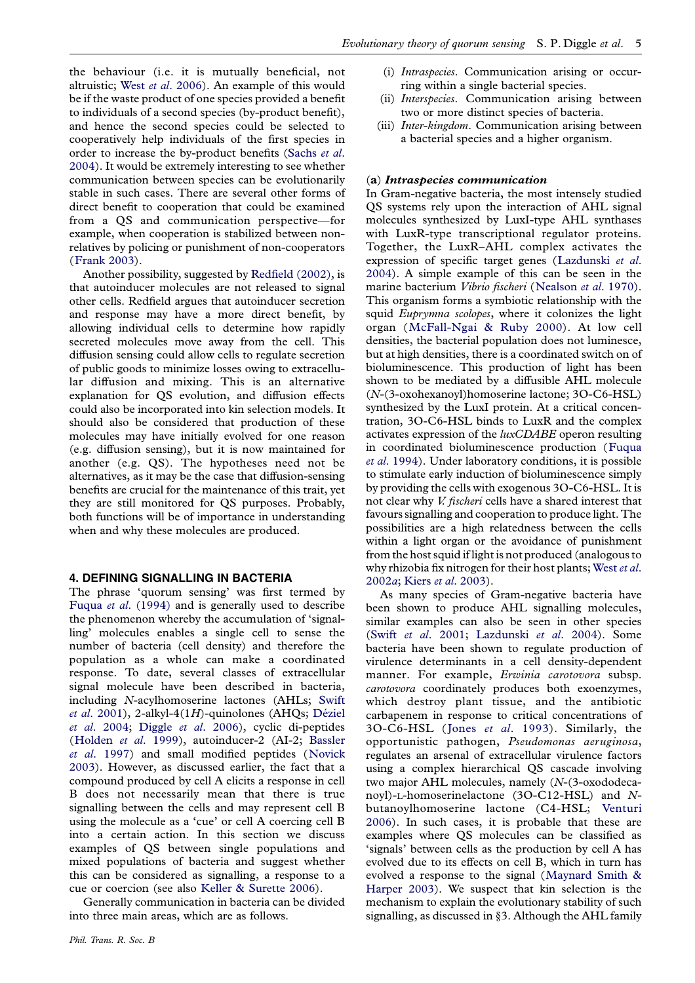the behaviour (i.e. it is mutually beneficial, not altruistic; West et al. [2006\)](#page-8-0). An example of this would be if the waste product of one species provided a benefit to individuals of a second species (by-product benefit), and hence the second species could be selected to cooperatively help individuals of the first species in order to increase the by-product benefits [\(Sachs](#page-8-0) et al. [2004](#page-8-0)). It would be extremely interesting to see whether communication between species can be evolutionarily stable in such cases. There are several other forms of direct benefit to cooperation that could be examined from a QS and communication perspective—for example, when cooperation is stabilized between nonrelatives by policing or punishment of non-cooperators ([Frank](#page-7-0) 2003).

Another possibility, suggested by [Redfield](#page-8-0) (2002), is that autoinducer molecules are not released to signal other cells. Redfield argues that autoinducer secretion and response may have a more direct benefit, by allowing individual cells to determine how rapidly secreted molecules move away from the cell. This diffusion sensing could allow cells to regulate secretion of public goods to minimize losses owing to extracellular diffusion and mixing. This is an alternative explanation for QS evolution, and diffusion effects could also be incorporated into kin selection models. It should also be considered that production of these molecules may have initially evolved for one reason (e.g. diffusion sensing), but it is now maintained for another (e.g. QS). The hypotheses need not be alternatives, as it may be the case that diffusion-sensing benefits are crucial for the maintenance of this trait, yet they are still monitored for QS purposes. Probably, both functions will be of importance in understanding when and why these molecules are produced.

#### 4. DEFINING SIGNALLING IN BACTERIA

The phrase 'quorum sensing' was first termed by Fuqua et al. [\(1994\)](#page-7-0) and is generally used to describe the phenomenon whereby the accumulation of 'signalling' molecules enables a single cell to sense the number of bacteria (cell density) and therefore the population as a whole can make a coordinated response. To date, several classes of extracellular signal molecule have been described in bacteria, including N-acylhomoserine lactones (AHLs; [Swift](#page-8-0) et al. [2001](#page-8-0)), 2-alkyl-4(1H)-quinolones (AHQs; Déziel et al. [2004](#page-6-0); [Diggle](#page-7-0) et al. 2006), cyclic di-peptides ([Holden](#page-7-0) et al. 1999), autoinducer-2 (AI-2; [Bassler](#page-6-0) et al. [1997\)](#page-6-0) and small modified peptides ([Novick](#page-8-0) [2003](#page-8-0)). However, as discussed earlier, the fact that a compound produced by cell A elicits a response in cell B does not necessarily mean that there is true signalling between the cells and may represent cell B using the molecule as a 'cue' or cell A coercing cell B into a certain action. In this section we discuss examples of QS between single populations and mixed populations of bacteria and suggest whether this can be considered as signalling, a response to a cue or coercion (see also Keller & [Surette](#page-7-0) 2006).

Generally communication in bacteria can be divided into three main areas, which are as follows.

- (i) Intraspecies. Communication arising or occurring within a single bacterial species.
- (ii) Interspecies. Communication arising between two or more distinct species of bacteria.
- (iii) Inter-kingdom. Communication arising between a bacterial species and a higher organism.

#### (a) Intraspecies communication

In Gram-negative bacteria, the most intensely studied QS systems rely upon the interaction of AHL signal molecules synthesized by LuxI-type AHL synthases with LuxR-type transcriptional regulator proteins. Together, the LuxR–AHL complex activates the expression of specific target genes ([Lazdunski](#page-7-0) et al. [2004](#page-7-0)). A simple example of this can be seen in the marine bacterium Vibrio fischeri ([Nealson](#page-7-0) et al. 1970). This organism forms a symbiotic relationship with the squid Euprymna scolopes, where it colonizes the light organ ([McFall-Ngai](#page-7-0) & Ruby 2000). At low cell densities, the bacterial population does not luminesce, but at high densities, there is a coordinated switch on of bioluminescence. This production of light has been shown to be mediated by a diffusible AHL molecule (N-(3-oxohexanoyl)homoserine lactone; 3O-C6-HSL) synthesized by the LuxI protein. At a critical concentration, 3O-C6-HSL binds to LuxR and the complex activates expression of the luxCDABE operon resulting in coordinated bioluminescence production ([Fuqua](#page-7-0) et al. [1994](#page-7-0)). Under laboratory conditions, it is possible to stimulate early induction of bioluminescence simply by providing the cells with exogenous 3O-C6-HSL. It is not clear why *V. fischeri* cells have a shared interest that favours signalling and cooperation to produce light. The possibilities are a high relatedness between the cells within a light organ or the avoidance of punishment from the host squid if light is not produced (analogous to why rhizobia fix nitrogen for their host plants; [West](#page-8-0) et al. [2002](#page-8-0)a; [Kiers](#page-7-0) et al. 2003).

As many species of Gram-negative bacteria have been shown to produce AHL signalling molecules, similar examples can also be seen in other species [\(Swift](#page-8-0) et al. 2001; [Lazdunski](#page-7-0) et al. 2004). Some bacteria have been shown to regulate production of virulence determinants in a cell density-dependent manner. For example, Erwinia carotovora subsp. carotovora coordinately produces both exoenzymes, which destroy plant tissue, and the antibiotic carbapenem in response to critical concentrations of 3O-C6-HSL ([Jones](#page-7-0) et al. 1993). Similarly, the opportunistic pathogen, Pseudomonas aeruginosa, regulates an arsenal of extracellular virulence factors using a complex hierarchical QS cascade involving two major AHL molecules, namely (N-(3-oxododecanoyl)-L-homoserinelactone (3O-C12-HSL) and Nbutanoylhomoserine lactone (C4-HSL; [Venturi](#page-8-0) [2006](#page-8-0)). In such cases, it is probable that these are examples where QS molecules can be classified as 'signals' between cells as the production by cell A has evolved due to its effects on cell B, which in turn has evolved a response to the signal ([Maynard](#page-7-0) Smith & [Harper](#page-7-0) 2003). We suspect that kin selection is the mechanism to explain the evolutionary stability of such signalling, as discussed in §3. Although the AHL family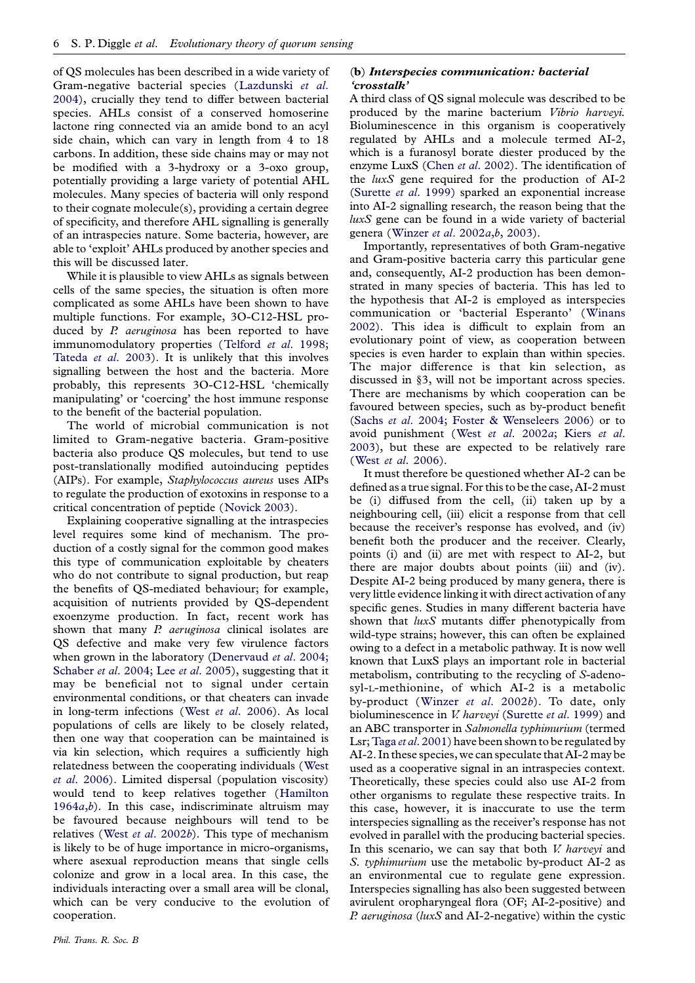of QS molecules has been described in a wide variety of Gram-negative bacterial species ([Lazdunski](#page-7-0) et al. [2004](#page-7-0)), crucially they tend to differ between bacterial species. AHLs consist of a conserved homoserine lactone ring connected via an amide bond to an acyl side chain, which can vary in length from 4 to 18 carbons. In addition, these side chains may or may not be modified with a 3-hydroxy or a 3-oxo group, potentially providing a large variety of potential AHL molecules. Many species of bacteria will only respond to their cognate molecule(s), providing a certain degree of specificity, and therefore AHL signalling is generally of an intraspecies nature. Some bacteria, however, are able to 'exploit' AHLs produced by another species and this will be discussed later.

While it is plausible to view AHLs as signals between cells of the same species, the situation is often more complicated as some AHLs have been shown to have multiple functions. For example, 3O-C12-HSL produced by P. *aeruginosa* has been reported to have immunomodulatory properties ([Telford](#page-8-0) et al. 1998; [Tateda](#page-8-0) et al. 2003). It is unlikely that this involves signalling between the host and the bacteria. More probably, this represents 3O-C12-HSL 'chemically manipulating' or 'coercing' the host immune response to the benefit of the bacterial population.

The world of microbial communication is not limited to Gram-negative bacteria. Gram-positive bacteria also produce QS molecules, but tend to use post-translationally modified autoinducing peptides (AIPs). For example, Staphylococcus aureus uses AIPs to regulate the production of exotoxins in response to a critical concentration of peptide ([Novick](#page-8-0) 2003).

Explaining cooperative signalling at the intraspecies level requires some kind of mechanism. The production of a costly signal for the common good makes this type of communication exploitable by cheaters who do not contribute to signal production, but reap the benefits of QS-mediated behaviour; for example, acquisition of nutrients provided by QS-dependent exoenzyme production. In fact, recent work has shown that many P. aeruginosa clinical isolates are QS defective and make very few virulence factors when grown in the laboratory ([Denervaud](#page-6-0) et al. 2004; [Schaber](#page-8-0) et al. 2004; Lee et al. [2005](#page-7-0)), suggesting that it may be beneficial not to signal under certain environmental conditions, or that cheaters can invade in long-term infections (West et al. [2006](#page-8-0)). As local populations of cells are likely to be closely related, then one way that cooperation can be maintained is via kin selection, which requires a sufficiently high relatedness between the cooperating individuals ([West](#page-8-0) et al. [2006](#page-8-0)). Limited dispersal (population viscosity) would tend to keep relatives together ([Hamilton](#page-7-0) [1964](#page-7-0) $a$ , $b$ ). In this case, indiscriminate altruism may be favoured because neighbours will tend to be relatives (West et al.  $2002b$  $2002b$ ). This type of mechanism is likely to be of huge importance in micro-organisms, where asexual reproduction means that single cells colonize and grow in a local area. In this case, the individuals interacting over a small area will be clonal, which can be very conducive to the evolution of cooperation.

#### (b) Interspecies communication: bacterial 'crosstalk'

A third class of QS signal molecule was described to be produced by the marine bacterium Vibrio harveyi. Bioluminescence in this organism is cooperatively regulated by AHLs and a molecule termed AI-2, which is a furanosyl borate diester produced by the enzyme LuxS [\(Chen](#page-6-0) et al. 2002). The identification of the luxS gene required for the production of AI-2 [\(Surette](#page-8-0) et al. 1999) sparked an exponential increase into AI-2 signalling research, the reason being that the  $luxS$  gene can be found in a wide variety of bacterial genera ([Winzer](#page-8-0) et al. 2002a,[b](#page-8-0), [2003\)](#page-8-0).

Importantly, representatives of both Gram-negative and Gram-positive bacteria carry this particular gene and, consequently, AI-2 production has been demonstrated in many species of bacteria. This has led to the hypothesis that AI-2 is employed as interspecies communication or 'bacterial Esperanto' ([Winans](#page-8-0) [2002\)](#page-8-0). This idea is difficult to explain from an evolutionary point of view, as cooperation between species is even harder to explain than within species. The major difference is that kin selection, as discussed in §3, will not be important across species. There are mechanisms by which cooperation can be favoured between species, such as by-product benefit [\(Sachs](#page-8-0) et al. 2004; Foster & [Wenseleers](#page-7-0) 2006) or to avoid punishment (West et al. [2002](#page-8-0)a; [Kiers](#page-7-0) et al. [2003](#page-7-0)), but these are expected to be relatively rare (West et al. [2006](#page-8-0)).

It must therefore be questioned whether AI-2 can be defined as a true signal. For this to be the case, AI-2 must be (i) diffused from the cell, (ii) taken up by a neighbouring cell, (iii) elicit a response from that cell because the receiver's response has evolved, and (iv) benefit both the producer and the receiver. Clearly, points (i) and (ii) are met with respect to AI-2, but there are major doubts about points (iii) and (iv). Despite AI-2 being produced by many genera, there is very little evidence linking it with direct activation of any specific genes. Studies in many different bacteria have shown that *luxS* mutants differ phenotypically from wild-type strains; however, this can often be explained owing to a defect in a metabolic pathway. It is now well known that LuxS plays an important role in bacterial metabolism, contributing to the recycling of S-adenosyl-L-methionine, of which AI-2 is a metabolic by-product ([Winzer](#page-8-0) et al. 2002b). To date, only bioluminescence in *V. harveyi* ([Surette](#page-8-0) et al. 1999) and an ABC transporter in Salmonella typhimurium (termed Lsr; Taga et al. [2001](#page-8-0)) have been shown to be regulated by AI-2.In these species, we can speculate that AI-2 may be used as a cooperative signal in an intraspecies context. Theoretically, these species could also use AI-2 from other organisms to regulate these respective traits. In this case, however, it is inaccurate to use the term interspecies signalling as the receiver's response has not evolved in parallel with the producing bacterial species. In this scenario, we can say that both  $V$ . harveyi and S. typhimurium use the metabolic by-product AI-2 as an environmental cue to regulate gene expression. Interspecies signalling has also been suggested between avirulent oropharyngeal flora (OF; AI-2-positive) and P. aeruginosa (luxS and AI-2-negative) within the cystic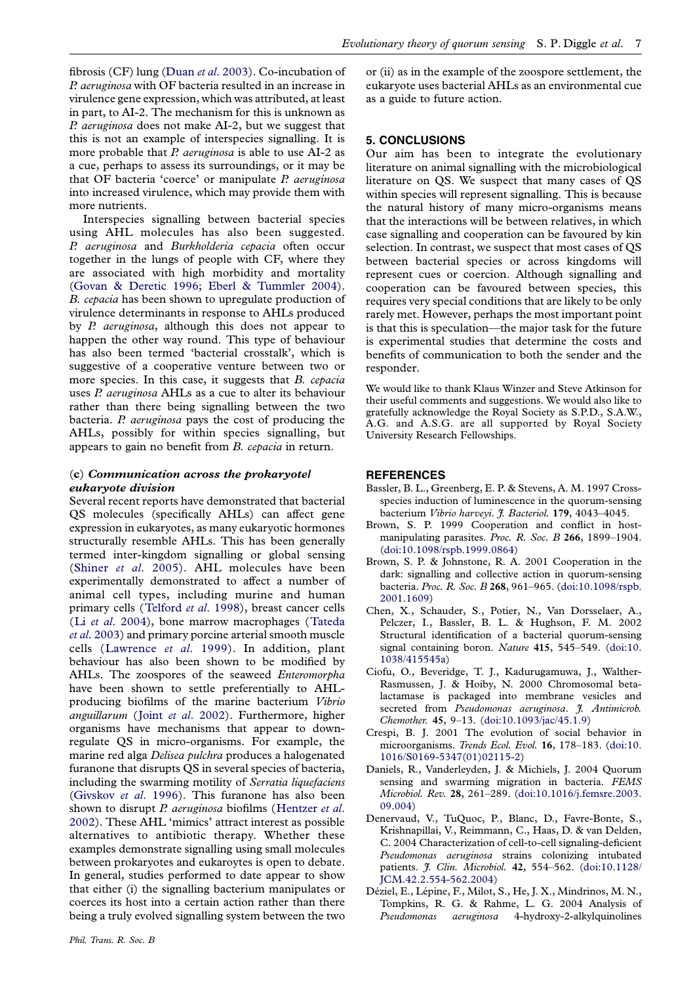<span id="page-6-0"></span>fibrosis (CF) lung ([Duan](#page-7-0) et al. 2003). Co-incubation of P. aeruginosa with OF bacteria resulted in an increase in virulence gene expression, which was attributed, at least in part, to AI-2. The mechanism for this is unknown as P. aeruginosa does not make AI-2, but we suggest that this is not an example of interspecies signalling. It is more probable that *P. aeruginosa* is able to use AI-2 as a cue, perhaps to assess its surroundings, or it may be that OF bacteria 'coerce' or manipulate  $P$ . aeruginosa into increased virulence, which may provide them with more nutrients.

Interspecies signalling between bacterial species using AHL molecules has also been suggested. P. aeruginosa and Burkholderia cepacia often occur together in the lungs of people with CF, where they are associated with high morbidity and mortality (Govan & [Deretic](#page-7-0) 1996; Eberl & [Tummler](#page-7-0) 2004). B. cepacia has been shown to upregulate production of virulence determinants in response to AHLs produced by *P. aeruginosa*, although this does not appear to happen the other way round. This type of behaviour has also been termed 'bacterial crosstalk', which is suggestive of a cooperative venture between two or more species. In this case, it suggests that B. cepacia uses P. aeruginosa AHLs as a cue to alter its behaviour rather than there being signalling between the two bacteria. P. *aeruginosa* pays the cost of producing the AHLs, possibly for within species signalling, but appears to gain no benefit from B. cepacia in return.

# (c) Communication across the prokaryote/ eukaryote division

Several recent reports have demonstrated that bacterial QS molecules (specifically AHLs) can affect gene expression in eukaryotes, as many eukaryotic hormones structurally resemble AHLs. This has been generally termed inter-kingdom signalling or global sensing [\(Shiner](#page-8-0) et al. 2005). AHL molecules have been experimentally demonstrated to affect a number of animal cell types, including murine and human primary cells ([Telford](#page-8-0) et al. 1998), breast cancer cells (Li et al. [2004](#page-7-0)), bone marrow macrophages ([Tateda](#page-8-0) et al. [2003\)](#page-8-0) and primary porcine arterial smooth muscle cells ([Lawrence](#page-7-0) et al. 1999). In addition, plant behaviour has also been shown to be modified by AHLs. The zoospores of the seaweed Enteromorpha have been shown to settle preferentially to AHLproducing biofilms of the marine bacterium Vibrio anguillarum (Joint et al. [2002\)](#page-7-0). Furthermore, higher organisms have mechanisms that appear to downregulate QS in micro-organisms. For example, the marine red alga Delisea pulchra produces a halogenated furanone that disrupts QS in several species of bacteria, including the swarming motility of Serratia liquefaciens [\(Givskov](#page-7-0) et al. 1996). This furanone has also been shown to disrupt P. aeruginosa biofilms ([Hentzer](#page-7-0) et al. [2002](#page-7-0)). These AHL 'mimics' attract interest as possible alternatives to antibiotic therapy. Whether these examples demonstrate signalling using small molecules between prokaryotes and eukaroytes is open to debate. In general, studies performed to date appear to show that either (i) the signalling bacterium manipulates or coerces its host into a certain action rather than there being a truly evolved signalling system between the two

# 5. CONCLUSIONS

Our aim has been to integrate the evolutionary literature on animal signalling with the microbiological literature on QS. We suspect that many cases of QS within species will represent signalling. This is because the natural history of many micro-organisms means that the interactions will be between relatives, in which case signalling and cooperation can be favoured by kin selection. In contrast, we suspect that most cases of QS between bacterial species or across kingdoms will represent cues or coercion. Although signalling and cooperation can be favoured between species, this requires very special conditions that are likely to be only rarely met. However, perhaps the most important point is that this is speculation—the major task for the future is experimental studies that determine the costs and benefits of communication to both the sender and the responder.

We would like to thank Klaus Winzer and Steve Atkinson for their useful comments and suggestions. We would also like to gratefully acknowledge the Royal Society as S.P.D., S.A.W., A.G. and A.S.G. are all supported by Royal Society University Research Fellowships.

# **REFERENCES**

- Bassler, B. L., Greenberg, E. P. & Stevens, A. M. 1997 Crossspecies induction of luminescence in the quorum-sensing bacterium Vibrio harveyi. J. Bacteriol. 179, 4043-4045.
- Brown, S. P. 1999 Cooperation and conflict in hostmanipulating parasites. Proc. R. Soc. B 266, 1899–1904. ([doi:10.1098/rspb.1999.0864](http://dx.doi.org/doi:10.1098/rspb.1999.0864))
- Brown, S. P. & Johnstone, R. A. 2001 Cooperation in the dark: signalling and collective action in quorum-sensing bacteria. Proc. R. Soc. B 268, 961–965. [\(doi:10.1098/rspb.](http://dx.doi.org/doi:10.1098/rspb.2001.1609) [2001.1609](http://dx.doi.org/doi:10.1098/rspb.2001.1609))
- Chen, X., Schauder, S., Potier, N., Van Dorsselaer, A., Pelczer, I., Bassler, B. L. & Hughson, F. M. 2002 Structural identification of a bacterial quorum-sensing signal containing boron. Nature 415, 545-549. ([doi:10.](http://dx.doi.org/doi:10.1038/415545a) [1038/415545a\)](http://dx.doi.org/doi:10.1038/415545a)
- Ciofu, O., Beveridge, T. J., Kadurugamuwa, J., Walther-Rasmussen, J. & Hoiby, N. 2000 Chromosomal betalactamase is packaged into membrane vesicles and secreted from Pseudomonas aeruginosa. J. Antimicrob. Chemother. 45, 9–13. [\(doi:10.1093/jac/45.1.9\)](http://dx.doi.org/doi:10.1093/jac/45.1.9)
- Crespi, B. J. 2001 The evolution of social behavior in microorganisms. Trends Ecol. Evol. 16, 178–183. ([doi:10.](http://dx.doi.org/doi:10.1016/S0169-5347(01)02115-2) [1016/S0169-5347\(01\)02115-2\)](http://dx.doi.org/doi:10.1016/S0169-5347(01)02115-2)
- Daniels, R., Vanderleyden, J. & Michiels, J. 2004 Quorum sensing and swarming migration in bacteria. FEMS Microbiol. Rev. 28, 261–289. ([doi:10.1016/j.femsre.2003.](http://dx.doi.org/doi:10.1016/j.femsre.2003.09.004) [09.004\)](http://dx.doi.org/doi:10.1016/j.femsre.2003.09.004)
- Denervaud, V., TuQuoc, P., Blanc, D., Favre-Bonte, S., Krishnapillai, V., Reimmann, C., Haas, D. & van Delden, C. 2004 Characterization of cell-to-cell signaling-deficient Pseudomonas aeruginosa strains colonizing intubated patients. *J. Clin. Microbiol.* 42, 554-562. ([doi:10.1128/](http://dx.doi.org/doi:10.1128/JCM.42.2.554-562.2004) [JCM.42.2.554-562.2004\)](http://dx.doi.org/doi:10.1128/JCM.42.2.554-562.2004)
- Déziel, E., Lépine, F., Milot, S., He, J. X., Mindrinos, M. N., Tompkins, R. G. & Rahme, L. G. 2004 Analysis of Pseudomonas aeruginosa 4-hydroxy-2-alkylquinolines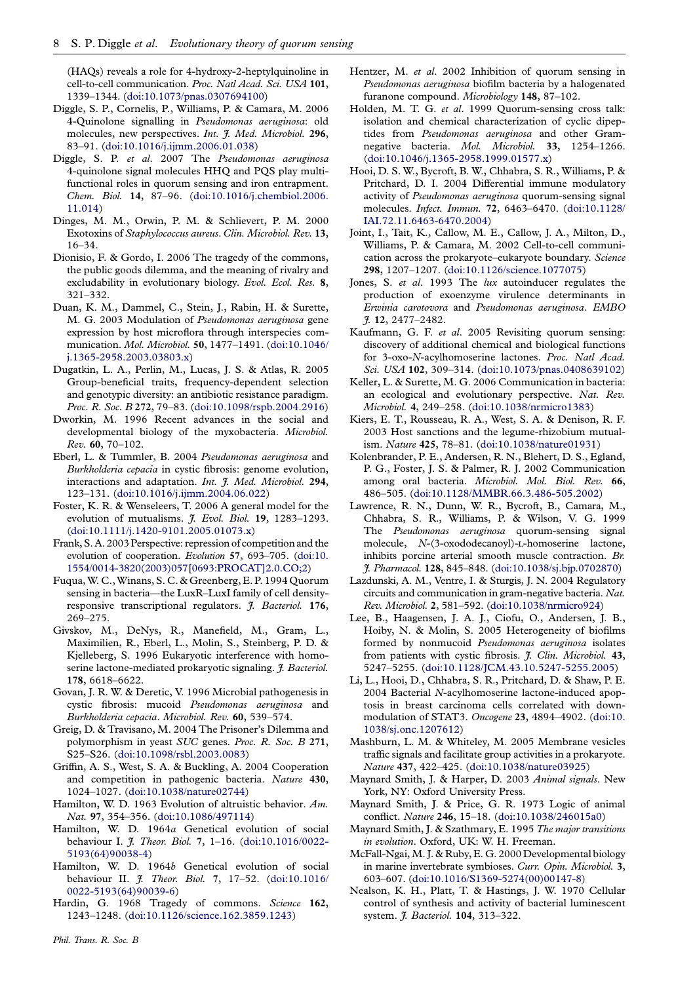<span id="page-7-0"></span>(HAQs) reveals a role for 4-hydroxy-2-heptylquinoline in cell-to-cell communication. Proc. Natl Acad. Sci. USA 101, 1339–1344. ([doi:10.1073/pnas.0307694100](http://dx.doi.org/doi:10.1073/pnas.0307694100))

- Diggle, S. P., Cornelis, P., Williams, P. & Camara, M. 2006 4-Quinolone signalling in Pseudomonas aeruginosa: old molecules, new perspectives. Int. J. Med. Microbiol. 296, 83–91. [\(doi:10.1016/j.ijmm.2006.01.038\)](http://dx.doi.org/doi:10.1016/j.ijmm.2006.01.038)
- Diggle, S. P. et al. 2007 The Pseudomonas aeruginosa 4-quinolone signal molecules HHQ and PQS play multifunctional roles in quorum sensing and iron entrapment. Chem. Biol. 14, 87–96. ([doi:10.1016/j.chembiol.2006.](http://dx.doi.org/doi:10.1016/j.chembiol.2006.11.014) [11.014\)](http://dx.doi.org/doi:10.1016/j.chembiol.2006.11.014)
- Dinges, M. M., Orwin, P. M. & Schlievert, P. M. 2000 Exotoxins of Staphylococcus aureus. Clin. Microbiol. Rev. 13, 16–34.
- Dionisio, F. & Gordo, I. 2006 The tragedy of the commons, the public goods dilemma, and the meaning of rivalry and excludability in evolutionary biology. Evol. Ecol. Res. 8, 321–332.
- Duan, K. M., Dammel, C., Stein, J., Rabin, H. & Surette, M. G. 2003 Modulation of Pseudomonas aeruginosa gene expression by host microflora through interspecies communication. Mol. Microbiol. 50, 1477–1491. ([doi:10.1046/](http://dx.doi.org/doi:10.1046/j.1365-2958.2003.03803.x) [j.1365-2958.2003.03803.x\)](http://dx.doi.org/doi:10.1046/j.1365-2958.2003.03803.x)
- Dugatkin, L. A., Perlin, M., Lucas, J. S. & Atlas, R. 2005 Group-beneficial traits, frequency-dependent selection and genotypic diversity: an antibiotic resistance paradigm. Proc. R. Soc. B 272, 79-83. ([doi:10.1098/rspb.2004.2916\)](http://dx.doi.org/doi:10.1098/rspb.2004.2916)
- Dworkin, M. 1996 Recent advances in the social and developmental biology of the myxobacteria. Microbiol. Rev. 60, 70–102.
- Eberl, L. & Tummler, B. 2004 Pseudomonas aeruginosa and Burkholderia cepacia in cystic fibrosis: genome evolution, interactions and adaptation. Int. J. Med. Microbiol. 294, 123–131. [\(doi:10.1016/j.ijmm.2004.06.022\)](http://dx.doi.org/doi:10.1016/j.ijmm.2004.06.022)
- Foster, K. R. & Wenseleers, T. 2006 A general model for the evolution of mutualisms. *J. Evol. Biol.* 19, 1283-1293. ([doi:10.1111/j.1420-9101.2005.01073.x](http://dx.doi.org/doi:10.1111/j.1420-9101.2005.01073.x))
- Frank, S.A. 2003 Perspective: repression of competition and the evolution of cooperation. Evolution 57, 693-705. ([doi:10.](http://dx.doi.org/doi:10.1554/0014-3820(2003)057%5B0693:PROCAT%5D2.0.CO;2) [1554/0014-3820\(2003\)057\[0693:PROCAT\]2.0.CO;2](http://dx.doi.org/doi:10.1554/0014-3820(2003)057%5B0693:PROCAT%5D2.0.CO;2))
- Fuqua,W. C.,Winans, S. C. & Greenberg,E.P. 1994 Quorum sensing in bacteria—the LuxR–LuxI family of cell densityresponsive transcriptional regulators. J. Bacteriol. 176, 269–275.
- Givskov, M., DeNys, R., Manefield, M., Gram, L., Maximilien, R., Eberl, L., Molin, S., Steinberg, P. D. & Kjelleberg, S. 1996 Eukaryotic interference with homoserine lactone-mediated prokaryotic signaling. J. Bacteriol. 178, 6618–6622.
- Govan, J. R. W. & Deretic, V. 1996 Microbial pathogenesis in cystic fibrosis: mucoid Pseudomonas aeruginosa and Burkholderia cepacia. Microbiol. Rev. 60, 539–574.
- Greig, D. & Travisano, M. 2004 The Prisoner's Dilemma and polymorphism in yeast SUC genes. Proc. R. Soc. B 271, S25–S26. ([doi:10.1098/rsbl.2003.0083](http://dx.doi.org/doi:10.1098/rsbl.2003.0083))
- Griffin, A. S., West, S. A. & Buckling, A. 2004 Cooperation and competition in pathogenic bacteria. Nature 430, 1024–1027. [\(doi:10.1038/nature02744\)](http://dx.doi.org/doi:10.1038/nature02744)
- Hamilton, W. D. 1963 Evolution of altruistic behavior. Am. Nat. 97, 354–356. ([doi:10.1086/497114](http://dx.doi.org/doi:10.1086/497114))
- Hamilton, W. D. 1964a Genetical evolution of social behaviour I. *J. Theor. Biol.* 7, 1-16. ([doi:10.1016/0022-](http://dx.doi.org/doi:10.1016/0022-5193(64)90038-4) [5193\(64\)90038-4\)](http://dx.doi.org/doi:10.1016/0022-5193(64)90038-4)
- Hamilton, W. D. 1964b Genetical evolution of social behaviour II. *J. Theor. Biol.* 7, 17-52. ([doi:10.1016/](http://dx.doi.org/doi:10.1016/0022-5193(64)90039-6) [0022-5193\(64\)90039-6\)](http://dx.doi.org/doi:10.1016/0022-5193(64)90039-6)
- Hardin, G. 1968 Tragedy of commons. Science 162, 1243–1248. [\(doi:10.1126/science.162.3859.1243](http://dx.doi.org/doi:10.1126/science.162.3859.1243))
- Hentzer, M. et al. 2002 Inhibition of quorum sensing in Pseudomonas aeruginosa biofilm bacteria by a halogenated furanone compound. Microbiology 148, 87–102.
- Holden, M. T. G. et al. 1999 Quorum-sensing cross talk: isolation and chemical characterization of cyclic dipeptides from Pseudomonas aeruginosa and other Gramnegative bacteria. Mol. Microbiol. 33, 1254-1266. ([doi:10.1046/j.1365-2958.1999.01577.x](http://dx.doi.org/doi:10.1046/j.1365-2958.1999.01577.x))
- Hooi, D. S. W., Bycroft, B. W., Chhabra, S. R., Williams, P. & Pritchard, D. I. 2004 Differential immune modulatory activity of Pseudomonas aeruginosa quorum-sensing signal molecules. Infect. Immun. 72, 6463–6470. ([doi:10.1128/](http://dx.doi.org/doi:10.1128/IAI.72.11.6463-6470.2004) [IAI.72.11.6463-6470.2004](http://dx.doi.org/doi:10.1128/IAI.72.11.6463-6470.2004))
- Joint, I., Tait, K., Callow, M. E., Callow, J. A., Milton, D., Williams, P. & Camara, M. 2002 Cell-to-cell communication across the prokaryote–eukaryote boundary. Science 298, 1207–1207. [\(doi:10.1126/science.1077075\)](http://dx.doi.org/doi:10.1126/science.1077075)
- Jones, S. et al. 1993 The lux autoinducer regulates the production of exoenzyme virulence determinants in Erwinia carotovora and Pseudomonas aeruginosa. EMBO J. 12, 2477–2482.
- Kaufmann, G. F. et al. 2005 Revisiting quorum sensing: discovery of additional chemical and biological functions for 3-oxo-N-acylhomoserine lactones. Proc. Natl Acad. Sci. USA 102, 309–314. ([doi:10.1073/pnas.0408639102\)](http://dx.doi.org/doi:10.1073/pnas.0408639102)
- Keller, L. & Surette, M. G. 2006 Communication in bacteria: an ecological and evolutionary perspective. Nat. Rev. Microbiol. 4, 249–258. [\(doi:10.1038/nrmicro1383](http://dx.doi.org/doi:10.1038/nrmicro1383))
- Kiers, E. T., Rousseau, R. A., West, S. A. & Denison, R. F. 2003 Host sanctions and the legume-rhizobium mutualism. Nature 425, 78–81. [\(doi:10.1038/nature01931](http://dx.doi.org/doi:10.1038/nature01931))
- Kolenbrander, P. E., Andersen, R. N., Blehert, D. S., Egland, P. G., Foster, J. S. & Palmer, R. J. 2002 Communication among oral bacteria. Microbiol. Mol. Biol. Rev. 66, 486–505. [\(doi:10.1128/MMBR.66.3.486-505.2002\)](http://dx.doi.org/doi:10.1128/MMBR.66.3.486-505.2002)
- Lawrence, R. N., Dunn, W. R., Bycroft, B., Camara, M., Chhabra, S. R., Williams, P. & Wilson, V. G. 1999 The Pseudomonas aeruginosa quorum-sensing signal molecule, N-(3-oxododecanoyl)-L-homoserine lactone, inhibits porcine arterial smooth muscle contraction. Br. J. Pharmacol. 128, 845–848. ([doi:10.1038/sj.bjp.0702870](http://dx.doi.org/doi:10.1038/sj.bjp.0702870))
- Lazdunski, A. M., Ventre, I. & Sturgis, J. N. 2004 Regulatory circuits and communication in gram-negative bacteria. Nat. Rev. Microbiol. 2, 581–592. ([doi:10.1038/nrmicro924\)](http://dx.doi.org/doi:10.1038/nrmicro924)
- Lee, B., Haagensen, J. A. J., Ciofu, O., Andersen, J. B., Hoiby, N. & Molin, S. 2005 Heterogeneity of biofilms formed by nonmucoid Pseudomonas aeruginosa isolates from patients with cystic fibrosis. *J. Clin. Microbiol*. 43, 5247–5255. [\(doi:10.1128/JCM.43.10.5247-5255.2005](http://dx.doi.org/doi:10.1128/JCM.43.10.5247-5255.2005))
- Li, L., Hooi, D., Chhabra, S. R., Pritchard, D. & Shaw, P. E. 2004 Bacterial N-acylhomoserine lactone-induced apoptosis in breast carcinoma cells correlated with downmodulation of STAT3. Oncogene 23, 4894–4902. ([doi:10.](http://dx.doi.org/doi:10.1038/sj.onc.1207612) [1038/sj.onc.1207612\)](http://dx.doi.org/doi:10.1038/sj.onc.1207612)
- Mashburn, L. M. & Whiteley, M. 2005 Membrane vesicles traffic signals and facilitate group activities in a prokaryote. Nature 437, 422–425. [\(doi:10.1038/nature03925\)](http://dx.doi.org/doi:10.1038/nature03925)
- Maynard Smith, J. & Harper, D. 2003 Animal signals. New York, NY: Oxford University Press.
- Maynard Smith, J. & Price, G. R. 1973 Logic of animal conflict. Nature 246, 15–18. ([doi:10.1038/246015a0](http://dx.doi.org/doi:10.1038/246015a0))
- Maynard Smith, J. & Szathmary, E. 1995 The major transitions in evolution. Oxford, UK: W. H. Freeman.
- McFall-Ngai, M.J. & Ruby, E. G. 2000 Developmental biology in marine invertebrate symbioses. Curr. Opin. Microbiol. 3, 603–607. [\(doi:10.1016/S1369-5274\(00\)00147-8\)](http://dx.doi.org/doi:10.1016/S1369-5274(00)00147-8)
- Nealson, K. H., Platt, T. & Hastings, J. W. 1970 Cellular control of synthesis and activity of bacterial luminescent system. *J. Bacteriol*. **104**, 313-322.